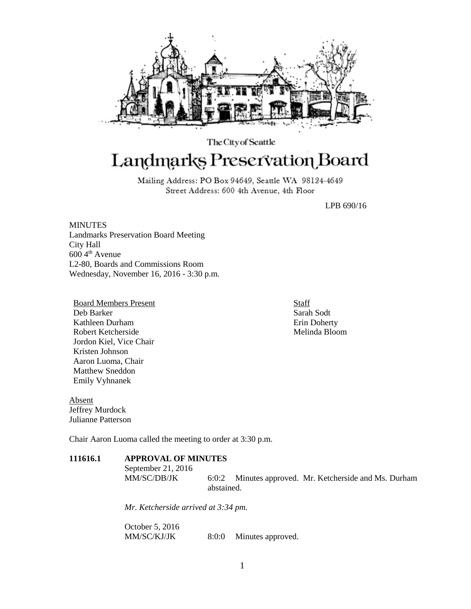

The City of Seattle Landmarks Preservation Board

> Mailing Address: PO Box 94649, Seattle WA 98124-4649 Street Address: 600 4th Avenue, 4th Floor

> > LPB 690/16

MINUTES Landmarks Preservation Board Meeting City Hall 600 4th Avenue L2-80, Boards and Commissions Room Wednesday, November 16, 2016 - 3:30 p.m.

Board Members Present Deb Barker Kathleen Durham Robert Ketcherside Jordon Kiel, Vice Chair Kristen Johnson Aaron Luoma, Chair Matthew Sneddon Emily Vyhnanek

**Staff** Sarah Sodt Erin Doherty Melinda Bloom

Absent Jeffrey Murdock Julianne Patterson

Chair Aaron Luoma called the meeting to order at 3:30 p.m.

### **111616.1 APPROVAL OF MINUTES**

September 21, 2016

MM/SC/DB/JK 6:0:2 Minutes approved. Mr. Ketcherside and Ms. Durham abstained.

*Mr. Ketcherside arrived at 3:34 pm.*

October 5, 2016 MM/SC/KJ/JK 8:0:0 Minutes approved.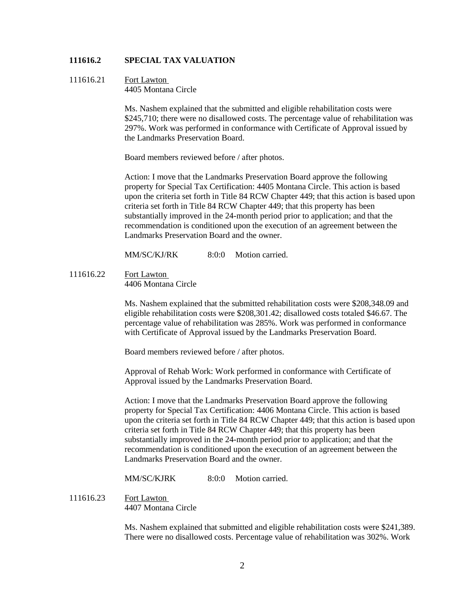### **111616.2 SPECIAL TAX VALUATION**

#### 111616.21 Fort Lawton 4405 Montana Circle

Ms. Nashem explained that the submitted and eligible rehabilitation costs were \$245,710; there were no disallowed costs. The percentage value of rehabilitation was 297%. Work was performed in conformance with Certificate of Approval issued by the Landmarks Preservation Board.

Board members reviewed before / after photos.

Action: I move that the Landmarks Preservation Board approve the following property for Special Tax Certification: 4405 Montana Circle. This action is based upon the criteria set forth in Title 84 RCW Chapter 449; that this action is based upon criteria set forth in Title 84 RCW Chapter 449; that this property has been substantially improved in the 24-month period prior to application; and that the recommendation is conditioned upon the execution of an agreement between the Landmarks Preservation Board and the owner.

MM/SC/KJ/RK 8:0:0 Motion carried

# 111616.22 Fort Lawton

4406 Montana Circle

Ms. Nashem explained that the submitted rehabilitation costs were \$208,348.09 and eligible rehabilitation costs were \$208,301.42; disallowed costs totaled \$46.67. The percentage value of rehabilitation was 285%. Work was performed in conformance with Certificate of Approval issued by the Landmarks Preservation Board.

Board members reviewed before / after photos.

Approval of Rehab Work: Work performed in conformance with Certificate of Approval issued by the Landmarks Preservation Board.

Action: I move that the Landmarks Preservation Board approve the following property for Special Tax Certification: 4406 Montana Circle. This action is based upon the criteria set forth in Title 84 RCW Chapter 449; that this action is based upon criteria set forth in Title 84 RCW Chapter 449; that this property has been substantially improved in the 24-month period prior to application; and that the recommendation is conditioned upon the execution of an agreement between the Landmarks Preservation Board and the owner.

### MM/SC/KJRK 8:0:0 Motion carried.

111616.23 Fort Lawton 4407 Montana Circle

> Ms. Nashem explained that submitted and eligible rehabilitation costs were \$241,389. There were no disallowed costs. Percentage value of rehabilitation was 302%. Work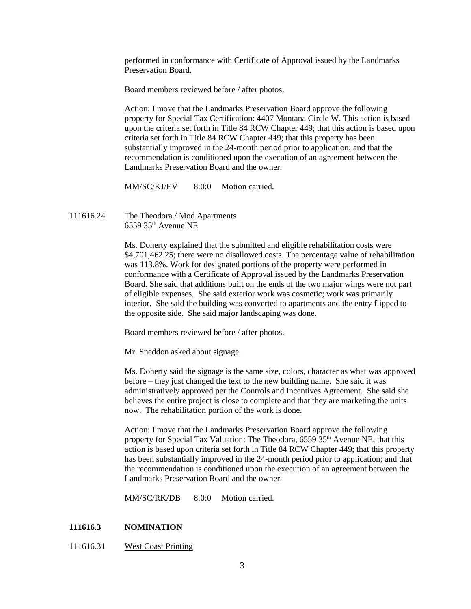performed in conformance with Certificate of Approval issued by the Landmarks Preservation Board.

Board members reviewed before / after photos.

Action: I move that the Landmarks Preservation Board approve the following property for Special Tax Certification: 4407 Montana Circle W. This action is based upon the criteria set forth in Title 84 RCW Chapter 449; that this action is based upon criteria set forth in Title 84 RCW Chapter 449; that this property has been substantially improved in the 24-month period prior to application; and that the recommendation is conditioned upon the execution of an agreement between the Landmarks Preservation Board and the owner.

MM/SC/KJ/EV 8:0:0 Motion carried.

111616.24 The Theodora / Mod Apartments  $\overline{6559}$  35<sup>th</sup> Avenue NE

> Ms. Doherty explained that the submitted and eligible rehabilitation costs were \$4,701,462.25; there were no disallowed costs. The percentage value of rehabilitation was 113.8%. Work for designated portions of the property were performed in conformance with a Certificate of Approval issued by the Landmarks Preservation Board. She said that additions built on the ends of the two major wings were not part of eligible expenses. She said exterior work was cosmetic; work was primarily interior. She said the building was converted to apartments and the entry flipped to the opposite side. She said major landscaping was done.

Board members reviewed before / after photos.

Mr. Sneddon asked about signage.

Ms. Doherty said the signage is the same size, colors, character as what was approved before – they just changed the text to the new building name. She said it was administratively approved per the Controls and Incentives Agreement. She said she believes the entire project is close to complete and that they are marketing the units now. The rehabilitation portion of the work is done.

Action: I move that the Landmarks Preservation Board approve the following property for Special Tax Valuation: The Theodora, 6559 35<sup>th</sup> Avenue NE, that this action is based upon criteria set forth in Title 84 RCW Chapter 449; that this property has been substantially improved in the 24-month period prior to application; and that the recommendation is conditioned upon the execution of an agreement between the Landmarks Preservation Board and the owner.

MM/SC/RK/DB 8:0:0 Motion carried.

#### **111616.3 NOMINATION**

111616.31 West Coast Printing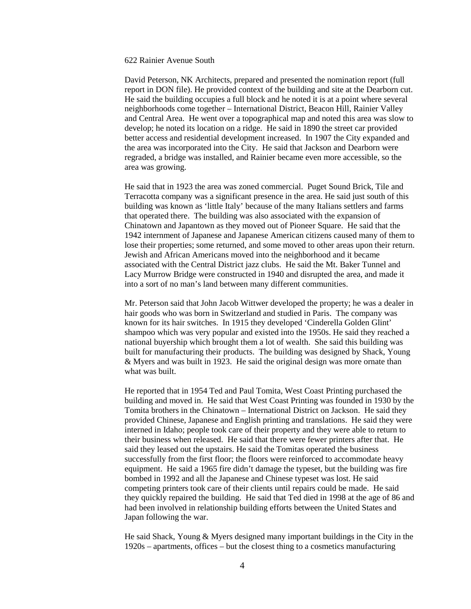#### 622 Rainier Avenue South

David Peterson, NK Architects, prepared and presented the nomination report (full report in DON file). He provided context of the building and site at the Dearborn cut. He said the building occupies a full block and he noted it is at a point where several neighborhoods come together – International District, Beacon Hill, Rainier Valley and Central Area. He went over a topographical map and noted this area was slow to develop; he noted its location on a ridge. He said in 1890 the street car provided better access and residential development increased. In 1907 the City expanded and the area was incorporated into the City. He said that Jackson and Dearborn were regraded, a bridge was installed, and Rainier became even more accessible, so the area was growing.

He said that in 1923 the area was zoned commercial. Puget Sound Brick, Tile and Terracotta company was a significant presence in the area. He said just south of this building was known as 'little Italy' because of the many Italians settlers and farms that operated there. The building was also associated with the expansion of Chinatown and Japantown as they moved out of Pioneer Square. He said that the 1942 internment of Japanese and Japanese American citizens caused many of them to lose their properties; some returned, and some moved to other areas upon their return. Jewish and African Americans moved into the neighborhood and it became associated with the Central District jazz clubs. He said the Mt. Baker Tunnel and Lacy Murrow Bridge were constructed in 1940 and disrupted the area, and made it into a sort of no man's land between many different communities.

Mr. Peterson said that John Jacob Wittwer developed the property; he was a dealer in hair goods who was born in Switzerland and studied in Paris. The company was known for its hair switches. In 1915 they developed 'Cinderella Golden Glint' shampoo which was very popular and existed into the 1950s. He said they reached a national buyership which brought them a lot of wealth. She said this building was built for manufacturing their products. The building was designed by Shack, Young & Myers and was built in 1923. He said the original design was more ornate than what was built.

He reported that in 1954 Ted and Paul Tomita, West Coast Printing purchased the building and moved in. He said that West Coast Printing was founded in 1930 by the Tomita brothers in the Chinatown – International District on Jackson. He said they provided Chinese, Japanese and English printing and translations. He said they were interned in Idaho; people took care of their property and they were able to return to their business when released. He said that there were fewer printers after that. He said they leased out the upstairs. He said the Tomitas operated the business successfully from the first floor; the floors were reinforced to accommodate heavy equipment. He said a 1965 fire didn't damage the typeset, but the building was fire bombed in 1992 and all the Japanese and Chinese typeset was lost. He said competing printers took care of their clients until repairs could be made. He said they quickly repaired the building. He said that Ted died in 1998 at the age of 86 and had been involved in relationship building efforts between the United States and Japan following the war.

He said Shack, Young & Myers designed many important buildings in the City in the 1920s – apartments, offices – but the closest thing to a cosmetics manufacturing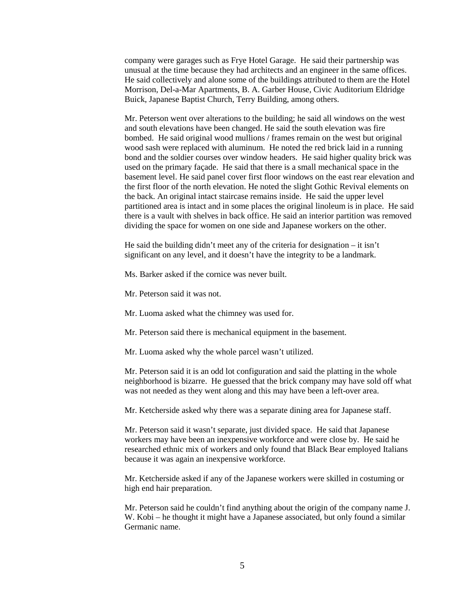company were garages such as Frye Hotel Garage. He said their partnership was unusual at the time because they had architects and an engineer in the same offices. He said collectively and alone some of the buildings attributed to them are the Hotel Morrison, Del-a-Mar Apartments, B. A. Garber House, Civic Auditorium Eldridge Buick, Japanese Baptist Church, Terry Building, among others.

Mr. Peterson went over alterations to the building; he said all windows on the west and south elevations have been changed. He said the south elevation was fire bombed. He said original wood mullions / frames remain on the west but original wood sash were replaced with aluminum. He noted the red brick laid in a running bond and the soldier courses over window headers. He said higher quality brick was used on the primary façade. He said that there is a small mechanical space in the basement level. He said panel cover first floor windows on the east rear elevation and the first floor of the north elevation. He noted the slight Gothic Revival elements on the back. An original intact staircase remains inside. He said the upper level partitioned area is intact and in some places the original linoleum is in place. He said there is a vault with shelves in back office. He said an interior partition was removed dividing the space for women on one side and Japanese workers on the other.

He said the building didn't meet any of the criteria for designation – it isn't significant on any level, and it doesn't have the integrity to be a landmark.

Ms. Barker asked if the cornice was never built.

Mr. Peterson said it was not.

Mr. Luoma asked what the chimney was used for.

Mr. Peterson said there is mechanical equipment in the basement.

Mr. Luoma asked why the whole parcel wasn't utilized.

Mr. Peterson said it is an odd lot configuration and said the platting in the whole neighborhood is bizarre. He guessed that the brick company may have sold off what was not needed as they went along and this may have been a left-over area.

Mr. Ketcherside asked why there was a separate dining area for Japanese staff.

Mr. Peterson said it wasn't separate, just divided space. He said that Japanese workers may have been an inexpensive workforce and were close by. He said he researched ethnic mix of workers and only found that Black Bear employed Italians because it was again an inexpensive workforce.

Mr. Ketcherside asked if any of the Japanese workers were skilled in costuming or high end hair preparation.

Mr. Peterson said he couldn't find anything about the origin of the company name J. W. Kobi – he thought it might have a Japanese associated, but only found a similar Germanic name.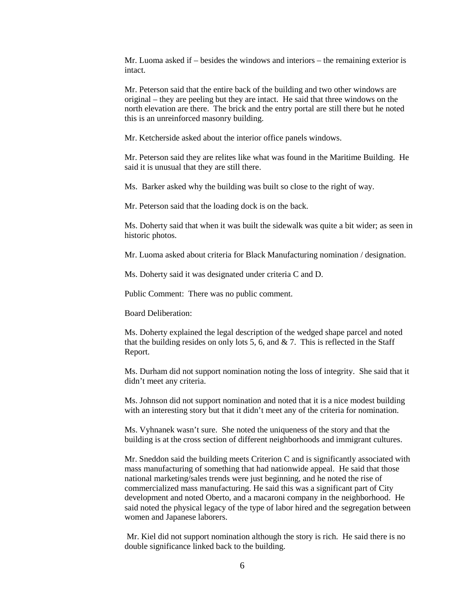Mr. Luoma asked if  $-$  besides the windows and interiors  $-$  the remaining exterior is intact.

Mr. Peterson said that the entire back of the building and two other windows are original – they are peeling but they are intact. He said that three windows on the north elevation are there. The brick and the entry portal are still there but he noted this is an unreinforced masonry building.

Mr. Ketcherside asked about the interior office panels windows.

Mr. Peterson said they are relites like what was found in the Maritime Building. He said it is unusual that they are still there.

Ms. Barker asked why the building was built so close to the right of way.

Mr. Peterson said that the loading dock is on the back.

Ms. Doherty said that when it was built the sidewalk was quite a bit wider; as seen in historic photos.

Mr. Luoma asked about criteria for Black Manufacturing nomination / designation.

Ms. Doherty said it was designated under criteria C and D.

Public Comment: There was no public comment.

Board Deliberation:

Ms. Doherty explained the legal description of the wedged shape parcel and noted that the building resides on only lots 5, 6, and  $& 7$ . This is reflected in the Staff Report.

Ms. Durham did not support nomination noting the loss of integrity. She said that it didn't meet any criteria.

Ms. Johnson did not support nomination and noted that it is a nice modest building with an interesting story but that it didn't meet any of the criteria for nomination.

Ms. Vyhnanek wasn't sure. She noted the uniqueness of the story and that the building is at the cross section of different neighborhoods and immigrant cultures.

Mr. Sneddon said the building meets Criterion C and is significantly associated with mass manufacturing of something that had nationwide appeal. He said that those national marketing/sales trends were just beginning, and he noted the rise of commercialized mass manufacturing. He said this was a significant part of City development and noted Oberto, and a macaroni company in the neighborhood. He said noted the physical legacy of the type of labor hired and the segregation between women and Japanese laborers.

Mr. Kiel did not support nomination although the story is rich. He said there is no double significance linked back to the building.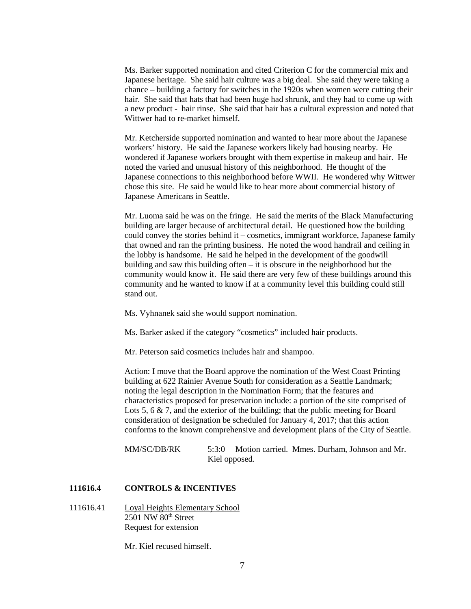Ms. Barker supported nomination and cited Criterion C for the commercial mix and Japanese heritage. She said hair culture was a big deal. She said they were taking a chance – building a factory for switches in the 1920s when women were cutting their hair. She said that hats that had been huge had shrunk, and they had to come up with a new product - hair rinse. She said that hair has a cultural expression and noted that Wittwer had to re-market himself.

Mr. Ketcherside supported nomination and wanted to hear more about the Japanese workers' history. He said the Japanese workers likely had housing nearby. He wondered if Japanese workers brought with them expertise in makeup and hair. He noted the varied and unusual history of this neighborhood. He thought of the Japanese connections to this neighborhood before WWII. He wondered why Wittwer chose this site. He said he would like to hear more about commercial history of Japanese Americans in Seattle.

Mr. Luoma said he was on the fringe. He said the merits of the Black Manufacturing building are larger because of architectural detail. He questioned how the building could convey the stories behind it – cosmetics, immigrant workforce, Japanese family that owned and ran the printing business. He noted the wood handrail and ceiling in the lobby is handsome. He said he helped in the development of the goodwill building and saw this building often  $-$  it is obscure in the neighborhood but the community would know it. He said there are very few of these buildings around this community and he wanted to know if at a community level this building could still stand out.

Ms. Vyhnanek said she would support nomination.

Ms. Barker asked if the category "cosmetics" included hair products.

Mr. Peterson said cosmetics includes hair and shampoo.

Action: I move that the Board approve the nomination of the West Coast Printing building at 622 Rainier Avenue South for consideration as a Seattle Landmark; noting the legal description in the Nomination Form; that the features and characteristics proposed for preservation include: a portion of the site comprised of Lots 5, 6  $\&$  7, and the exterior of the building; that the public meeting for Board consideration of designation be scheduled for January 4, 2017; that this action conforms to the known comprehensive and development plans of the City of Seattle.

MM/SC/DB/RK 5:3:0 Motion carried. Mmes. Durham, Johnson and Mr. Kiel opposed.

# **111616.4 CONTROLS & INCENTIVES**

111616.41 Loyal Heights Elementary School  $2501$  NW  $80<sup>th</sup>$  Street Request for extension

Mr. Kiel recused himself.